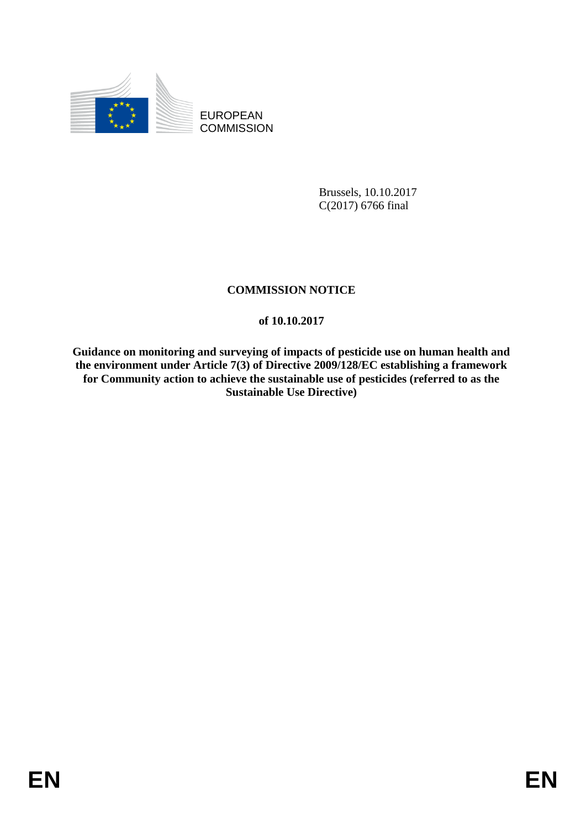

EUROPEAN **COMMISSION** 

> Brussels, 10.10.2017 C(2017) 6766 final

# **COMMISSION NOTICE**

# **of 10.10.2017**

**Guidance on monitoring and surveying of impacts of pesticide use on human health and the environment under Article 7(3) of Directive 2009/128/EC establishing a framework for Community action to achieve the sustainable use of pesticides (referred to as the Sustainable Use Directive)**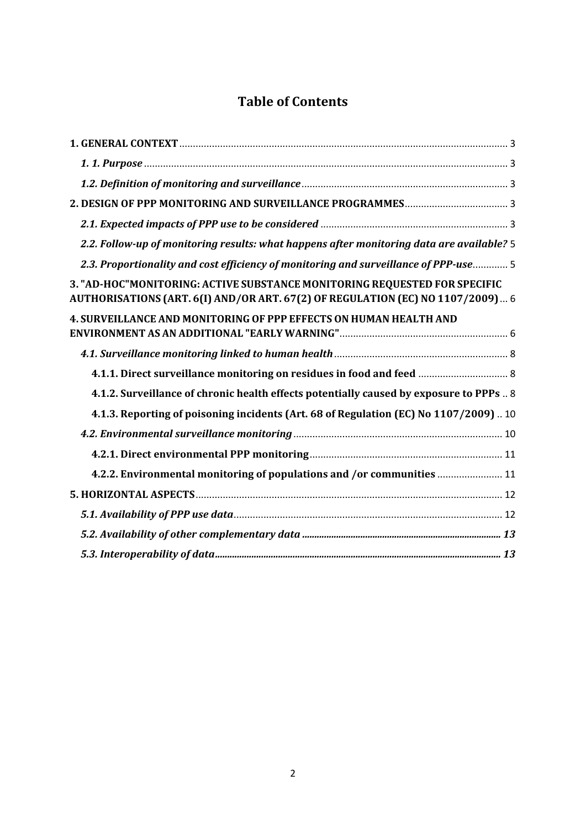# **Table of Contents**

| 2.2. Follow-up of monitoring results: what happens after monitoring data are available? 5                                                                   |
|-------------------------------------------------------------------------------------------------------------------------------------------------------------|
| 2.3. Proportionality and cost efficiency of monitoring and surveillance of PPP-use 5                                                                        |
| 3. "AD-HOC"MONITORING: ACTIVE SUBSTANCE MONITORING REQUESTED FOR SPECIFIC<br>AUTHORISATIONS (ART. 6(I) AND/OR ART. 67(2) OF REGULATION (EC) NO 1107/2009) 6 |
| 4. SURVEILLANCE AND MONITORING OF PPP EFFECTS ON HUMAN HEALTH AND                                                                                           |
|                                                                                                                                                             |
|                                                                                                                                                             |
| 4.1.2. Surveillance of chronic health effects potentially caused by exposure to PPPs  8                                                                     |
| 4.1.3. Reporting of poisoning incidents (Art. 68 of Regulation (EC) No 1107/2009) 10                                                                        |
|                                                                                                                                                             |
|                                                                                                                                                             |
| 4.2.2. Environmental monitoring of populations and /or communities  11                                                                                      |
|                                                                                                                                                             |
|                                                                                                                                                             |
|                                                                                                                                                             |
|                                                                                                                                                             |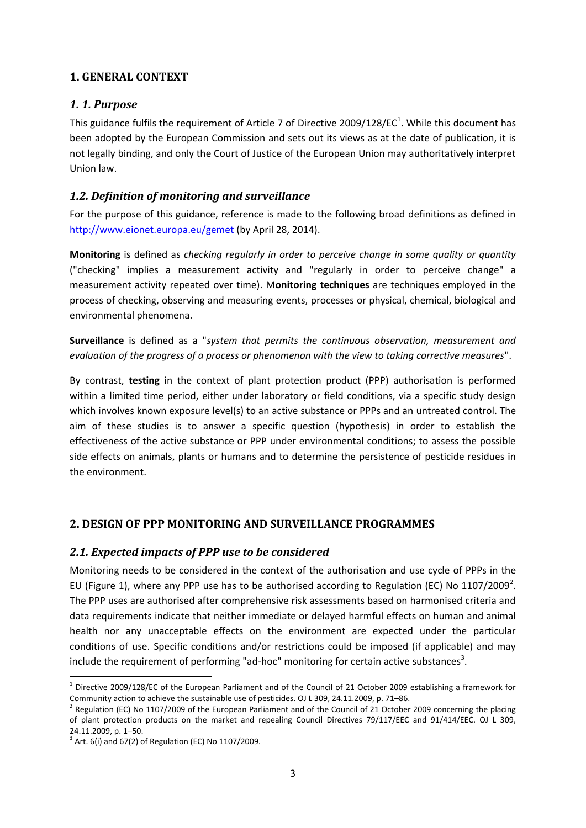# <span id="page-2-0"></span>**1. GENERAL CONTEXT**

# <span id="page-2-1"></span>*1. 1. Purpose*

This guidance fulfils the requirement of Article 7 of Directive 2009/128/EC<sup>1</sup>. While this document has been adopted by the European Commission and sets out its views as at the date of publication, it is not legally binding, and only the Court of Justice of the European Union may authoritatively interpret Union law.

#### <span id="page-2-2"></span>*1.2. Definition of monitoring and surveillance*

For the purpose of this guidance, reference is made to the following broad definitions as defined in <http://www.eionet.europa.eu/gemet> (by April 28, 2014).

**Monitoring** is defined as *checking regularly in order to perceive change in some quality or quantity* ("checking" implies a measurement activity and "regularly in order to perceive change" a measurement activity repeated over time). M**onitoring techniques** are techniques employed in the process of checking, observing and measuring events, processes or physical, chemical, biological and environmental phenomena.

**Surveillance** is defined as a "*system that permits the continuous observation, measurement and evaluation of the progress of a process or phenomenon with the view to taking corrective measures*".

By contrast, **testing** in the context of plant protection product (PPP) authorisation is performed within a limited time period, either under laboratory or field conditions, via a specific study design which involves known exposure level(s) to an active substance or PPPs and an untreated control. The aim of these studies is to answer a specific question (hypothesis) in order to establish the effectiveness of the active substance or PPP under environmental conditions; to assess the possible side effects on animals, plants or humans and to determine the persistence of pesticide residues in the environment.

# <span id="page-2-3"></span>**2. DESIGN OF PPP MONITORING AND SURVEILLANCE PROGRAMMES**

#### <span id="page-2-4"></span>*2.1. Expected impacts of PPP use to be considered*

Monitoring needs to be considered in the context of the authorisation and use cycle of PPPs in the EU (Figure 1), where any PPP use has to be authorised according to Regulation (EC) No 1107/2009<sup>2</sup>. The PPP uses are authorised after comprehensive risk assessments based on harmonised criteria and data requirements indicate that neither immediate or delayed harmful effects on human and animal health nor any unacceptable effects on the environment are expected under the particular conditions of use. Specific conditions and/or restrictions could be imposed (if applicable) and may include the requirement of performing "ad-hoc" monitoring for certain active substances<sup>3</sup>.

 $^1$  Directive 2009/128/EC of the European Parliament and of the Council of 21 October 2009 establishing a framework for Community action to achieve the sustainable use of pesticides. OJ L 309, 24.11.2009, p. 71–86.

 $^2$  Regulation (EC) No 1107/2009 of the European Parliament and of the Council of 21 October 2009 concerning the placing of plant protection products on the market and repealing Council Directives 79/117/EEC and 91/414/EEC. OJ L 309, 24.11.2009, p. 1–50.

 $3$  Art. 6(i) and 67(2) of Regulation (EC) No 1107/2009.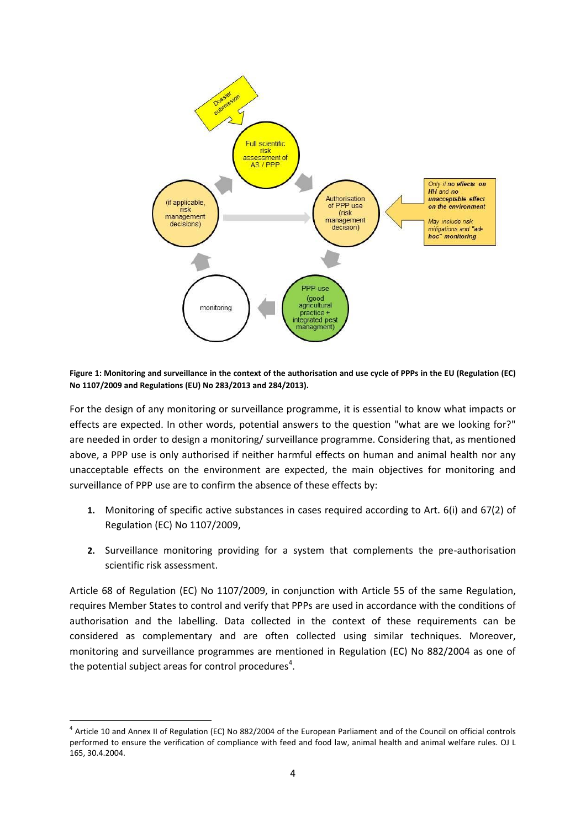

**Figure 1: Monitoring and surveillance in the context of the authorisation and use cycle of PPPs in the EU (Regulation (EC) No 1107/2009 and Regulations (EU) No 283/2013 and 284/2013).** 

For the design of any monitoring or surveillance programme, it is essential to know what impacts or effects are expected. In other words, potential answers to the question "what are we looking for?" are needed in order to design a monitoring/ surveillance programme. Considering that, as mentioned above, a PPP use is only authorised if neither harmful effects on human and animal health nor any unacceptable effects on the environment are expected, the main objectives for monitoring and surveillance of PPP use are to confirm the absence of these effects by:

- **1.** Monitoring of specific active substances in cases required according to Art. 6(i) and 67(2) of Regulation (EC) No 1107/2009,
- **2.** Surveillance monitoring providing for a system that complements the pre-authorisation scientific risk assessment.

Article 68 of Regulation (EC) No 1107/2009, in conjunction with Article 55 of the same Regulation, requires Member States to control and verify that PPPs are used in accordance with the conditions of authorisation and the labelling. Data collected in the context of these requirements can be considered as complementary and are often collected using similar techniques. Moreover, monitoring and surveillance programmes are mentioned in Regulation (EC) No 882/2004 as one of the potential subject areas for control procedures<sup>4</sup>.

<sup>&</sup>lt;sup>4</sup> Article 10 and Annex II of Regulation (EC) No 882/2004 of the European Parliament and of the Council on official controls performed to ensure the verification of compliance with feed and food law, animal health and animal welfare rules. OJ L 165, 30.4.2004.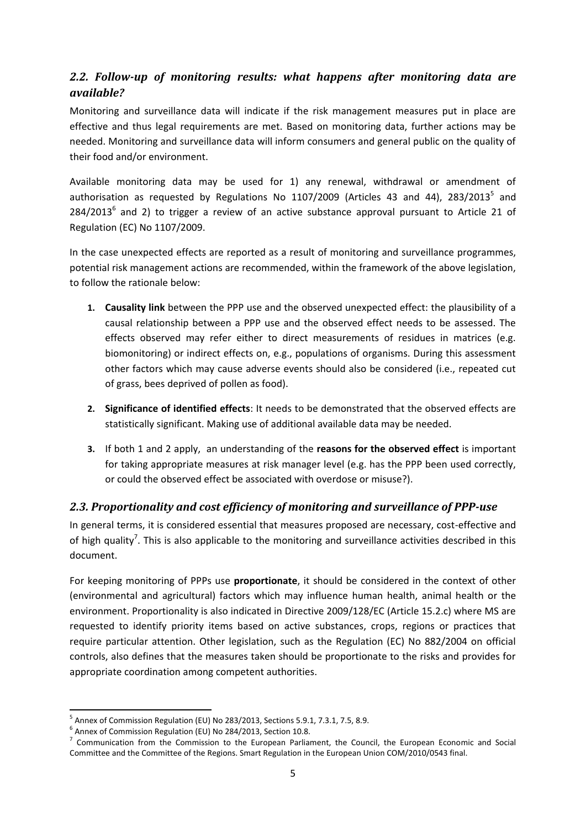# <span id="page-4-0"></span>*2.2. Follow-up of monitoring results: what happens after monitoring data are available?*

Monitoring and surveillance data will indicate if the risk management measures put in place are effective and thus legal requirements are met. Based on monitoring data, further actions may be needed. Monitoring and surveillance data will inform consumers and general public on the quality of their food and/or environment.

Available monitoring data may be used for 1) any renewal, withdrawal or amendment of authorisation as requested by Regulations No 1107/2009 (Articles 43 and 44), 283/2013<sup>5</sup> and  $284/2013<sup>6</sup>$  and 2) to trigger a review of an active substance approval pursuant to Article 21 of Regulation (EC) No 1107/2009.

In the case unexpected effects are reported as a result of monitoring and surveillance programmes, potential risk management actions are recommended, within the framework of the above legislation, to follow the rationale below:

- **1. Causality link** between the PPP use and the observed unexpected effect: the plausibility of a causal relationship between a PPP use and the observed effect needs to be assessed. The effects observed may refer either to direct measurements of residues in matrices (e.g. biomonitoring) or indirect effects on, e.g., populations of organisms. During this assessment other factors which may cause adverse events should also be considered (i.e., repeated cut of grass, bees deprived of pollen as food).
- **2. Significance of identified effects**: It needs to be demonstrated that the observed effects are statistically significant. Making use of additional available data may be needed.
- **3.** If both 1 and 2 apply, an understanding of the **reasons for the observed effect** is important for taking appropriate measures at risk manager level (e.g. has the PPP been used correctly, or could the observed effect be associated with overdose or misuse?).

# <span id="page-4-1"></span>*2.3. Proportionality and cost efficiency of monitoring and surveillance of PPP-use*

In general terms, it is considered essential that measures proposed are necessary, cost-effective and of high quality<sup>7</sup>. This is also applicable to the monitoring and surveillance activities described in this document.

For keeping monitoring of PPPs use **proportionate**, it should be considered in the context of other (environmental and agricultural) factors which may influence human health, animal health or the environment. Proportionality is also indicated in Directive 2009/128/EC (Article 15.2.c) where MS are requested to identify priority items based on active substances, crops, regions or practices that require particular attention. Other legislation, such as the Regulation (EC) No 882/2004 on official controls, also defines that the measures taken should be proportionate to the risks and provides for appropriate coordination among competent authorities.

<sup>&</sup>lt;sup>5</sup> Annex of Commission Regulation (EU) No 283/2013, Sections 5.9.1, 7.3.1, 7.5, 8.9.

<sup>6</sup> Annex of Commission Regulation (EU) No 284/2013, Section 10.8.

<sup>&</sup>lt;sup>7</sup> Communication from the Commission to the European Parliament, the Council, the European Economic and Social Committee and the Committee of the Regions. Smart Regulation in the European Union COM/2010/0543 final.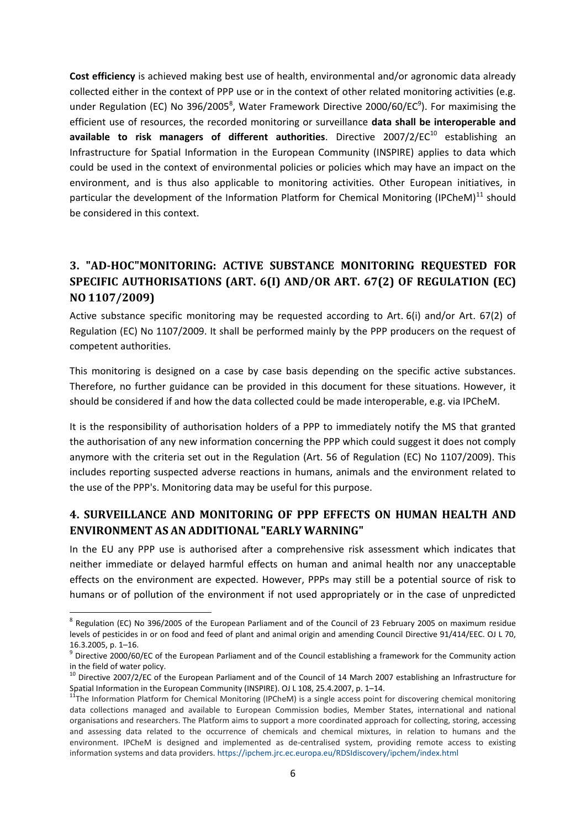**Cost efficiency** is achieved making best use of health, environmental and/or agronomic data already collected either in the context of PPP use or in the context of other related monitoring activities (e.g. under Regulation (EC) No 396/2005<sup>8</sup>, Water Framework Directive 2000/60/EC<sup>9</sup>). For maximising the efficient use of resources, the recorded monitoring or surveillance **data shall be interoperable and**  available to risk managers of different authorities. Directive 2007/2/EC<sup>10</sup> establishing an Infrastructure for Spatial Information in the European Community (INSPIRE) applies to data which could be used in the context of environmental policies or policies which may have an impact on the environment, and is thus also applicable to monitoring activities. Other European initiatives, in particular the development of the Information Platform for Chemical Monitoring (IPCheM)<sup>11</sup> should be considered in this context.

# <span id="page-5-0"></span>**3. "AD-HOC"MONITORING: ACTIVE SUBSTANCE MONITORING REQUESTED FOR SPECIFIC AUTHORISATIONS (ART. 6(I) AND/OR ART. 67(2) OF REGULATION (EC) NO 1107/2009)**

Active substance specific monitoring may be requested according to Art. 6(i) and/or Art. 67(2) of Regulation (EC) No 1107/2009. It shall be performed mainly by the PPP producers on the request of competent authorities.

This monitoring is designed on a case by case basis depending on the specific active substances. Therefore, no further guidance can be provided in this document for these situations. However, it should be considered if and how the data collected could be made interoperable, e.g. via IPCheM.

It is the responsibility of authorisation holders of a PPP to immediately notify the MS that granted the authorisation of any new information concerning the PPP which could suggest it does not comply anymore with the criteria set out in the Regulation (Art. 56 of Regulation (EC) No 1107/2009). This includes reporting suspected adverse reactions in humans, animals and the environment related to the use of the PPP's. Monitoring data may be useful for this purpose.

# <span id="page-5-1"></span>**4. SURVEILLANCE AND MONITORING OF PPP EFFECTS ON HUMAN HEALTH AND ENVIRONMENT AS AN ADDITIONAL "EARLY WARNING"**

In the EU any PPP use is authorised after a comprehensive risk assessment which indicates that neither immediate or delayed harmful effects on human and animal health nor any unacceptable effects on the environment are expected. However, PPPs may still be a potential source of risk to humans or of pollution of the environment if not used appropriately or in the case of unpredicted

<sup>&</sup>lt;sup>8</sup> Regulation (EC) No 396/2005 of the European Parliament and of the Council of 23 February 2005 on maximum residue levels of pesticides in or on food and feed of plant and animal origin and amending Council Directive 91/414/EEC. OJ L 70, 16.3.2005, p. 1–16.

<sup>&</sup>lt;sup>9</sup> Directive 2000/60/EC of the European Parliament and of the Council establishing a framework for the Community action in the field of water policy.

 $10$  Directive 2007/2/EC of the European Parliament and of the Council of 14 March 2007 establishing an Infrastructure for Spatial Information in the European Community (INSPIRE). OJ L 108, 25.4.2007, p. 1–14.

<sup>11</sup>The Information Platform for Chemical Monitoring (IPCheM) is a single access point for discovering chemical monitoring data collections managed and available to European Commission bodies, Member States, international and national organisations and researchers. The Platform aims to support a more coordinated approach for collecting, storing, accessing and assessing data related to the occurrence of chemicals and chemical mixtures, in relation to humans and the environment. IPCheM is designed and implemented as de-centralised system, providing remote access to existing information systems and data providers. <https://ipchem.jrc.ec.europa.eu/RDSIdiscovery/ipchem/index.html>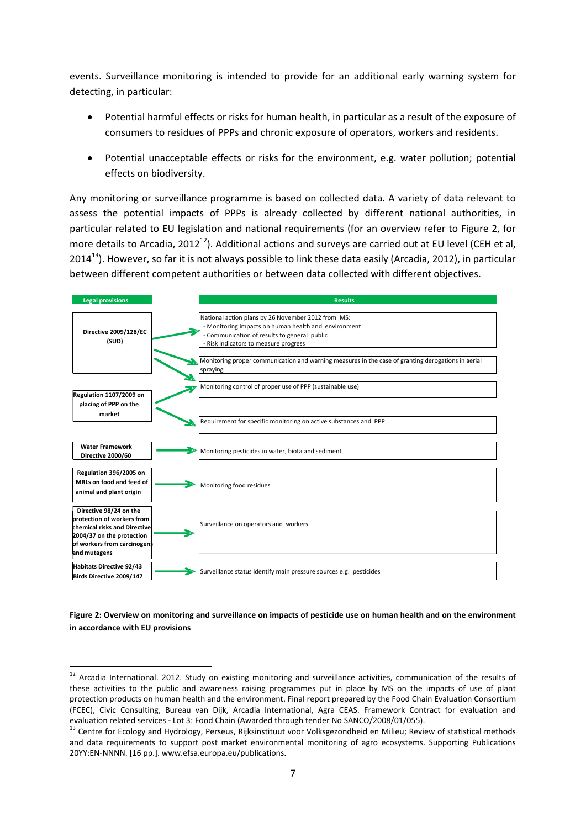events. Surveillance monitoring is intended to provide for an additional early warning system for detecting, in particular:

- Potential harmful effects or risks for human health, in particular as a result of the exposure of consumers to residues of PPPs and chronic exposure of operators, workers and residents.
- Potential unacceptable effects or risks for the environment, e.g. water pollution; potential effects on biodiversity.

Any monitoring or surveillance programme is based on collected data. A variety of data relevant to assess the potential impacts of PPPs is already collected by different national authorities, in particular related to EU legislation and national requirements (for an overview refer to Figure 2, for more details to Arcadia, 2012<sup>12</sup>). Additional actions and surveys are carried out at EU level (CEH et al, 2014<sup>13</sup>). However, so far it is not always possible to link these data easily (Arcadia, 2012), in particular between different competent authorities or between data collected with different objectives.



**Figure 2: Overview on monitoring and surveillance on impacts of pesticide use on human health and on the environment in accordance with EU provisions**

<sup>&</sup>lt;sup>12</sup> Arcadia International. 2012. Study on existing monitoring and surveillance activities, communication of the results of these activities to the public and awareness raising programmes put in place by MS on the impacts of use of plant protection products on human health and the environment. Final report prepared by the Food Chain Evaluation Consortium (FCEC), Civic Consulting, Bureau van Dijk, Arcadia International, Agra CEAS. Framework Contract for evaluation and evaluation related services - Lot 3: Food Chain (Awarded through tender No SANCO/2008/01/055).

<sup>&</sup>lt;sup>13</sup> Centre for Ecology and Hydrology, Perseus, Rijksinstituut voor Volksgezondheid en Milieu; Review of statistical methods and data requirements to support post market environmental monitoring of agro ecosystems. Supporting Publications 20YY:EN-NNNN. [16 pp.]. www.efsa.europa.eu/publications.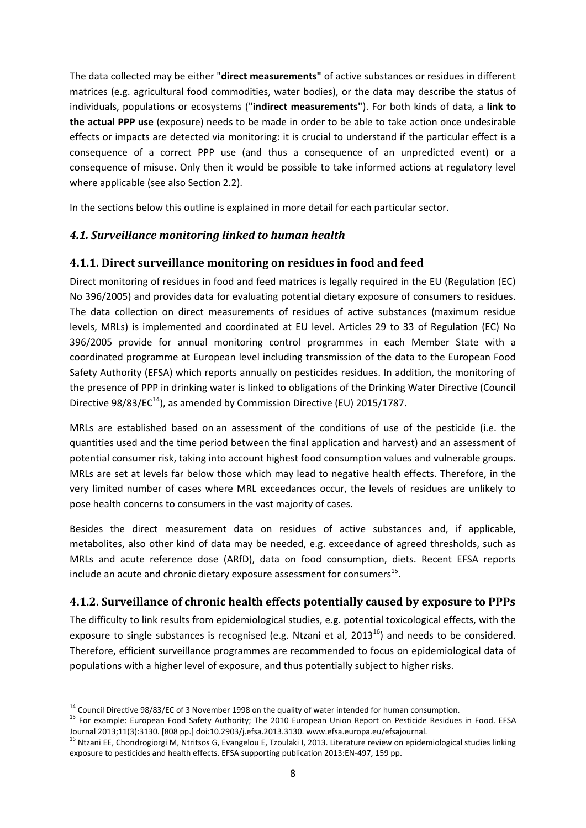The data collected may be either "**direct measurements"** of active substances or residues in different matrices (e.g. agricultural food commodities, water bodies), or the data may describe the status of individuals, populations or ecosystems ("**indirect measurements"**). For both kinds of data, a **link to the actual PPP use** (exposure) needs to be made in order to be able to take action once undesirable effects or impacts are detected via monitoring: it is crucial to understand if the particular effect is a consequence of a correct PPP use (and thus a consequence of an unpredicted event) or a consequence of misuse. Only then it would be possible to take informed actions at regulatory level where applicable (see also Section 2.2).

In the sections below this outline is explained in more detail for each particular sector.

# <span id="page-7-0"></span>*4.1. Surveillance monitoring linked to human health*

# <span id="page-7-1"></span>**4.1.1. Direct surveillance monitoring on residues in food and feed**

Direct monitoring of residues in food and feed matrices is legally required in the EU (Regulation (EC) No 396/2005) and provides data for evaluating potential dietary exposure of consumers to residues. The data collection on direct measurements of residues of active substances (maximum residue levels, MRLs) is implemented and coordinated at EU level. Articles 29 to 33 of Regulation (EC) No 396/2005 provide for annual monitoring control programmes in each Member State with a coordinated programme at European level including transmission of the data to the European Food Safety Authority (EFSA) which reports annually on pesticides residues. In addition, the monitoring of the presence of PPP in drinking water is linked to obligations of the Drinking Water Directive (Council Directive  $98/83/EC^{14}$ ), as amended by Commission Directive (EU) 2015/1787.

MRLs are established based on an assessment of the conditions of use of the pesticide (i.e. the quantities used and the time period between the final application and harvest) and an assessment of potential consumer risk, taking into account highest food consumption values and vulnerable groups. MRLs are set at levels far below those which may lead to negative health effects. Therefore, in the very limited number of cases where MRL exceedances occur, the levels of residues are unlikely to pose health concerns to consumers in the vast majority of cases.

Besides the direct measurement data on residues of active substances and, if applicable, metabolites, also other kind of data may be needed, e.g. exceedance of agreed thresholds, such as MRLs and acute reference dose (ARfD), data on food consumption, diets. Recent EFSA reports include an acute and chronic dietary exposure assessment for consumers $^{15}$ .

# <span id="page-7-2"></span>**4.1.2. Surveillance of chronic health effects potentially caused by exposure to PPPs**

The difficulty to link results from epidemiological studies, e.g. potential toxicological effects, with the exposure to single substances is recognised (e.g. Ntzani et al,  $2013^{16}$ ) and needs to be considered. Therefore, efficient surveillance programmes are recommended to focus on epidemiological data of populations with a higher level of exposure, and thus potentially subject to higher risks.

1

<sup>&</sup>lt;sup>14</sup> Council Directive 98/83/EC of 3 November 1998 on the quality of water intended for human consumption.

<sup>&</sup>lt;sup>15</sup> For example: European Food Safety Authority; The 2010 European Union Report on Pesticide Residues in Food. EFSA Journal 2013;11(3):3130. [808 pp.] doi:10.2903/j.efsa.2013.3130. www.efsa.europa.eu/efsajournal.

<sup>&</sup>lt;sup>16</sup> Ntzani EE, Chondrogiorgi M, Ntritsos G, Evangelou E, Tzoulaki I, 2013. Literature review on epidemiological studies linking exposure to pesticides and health effects. EFSA supporting publication 2013:EN-497, 159 pp.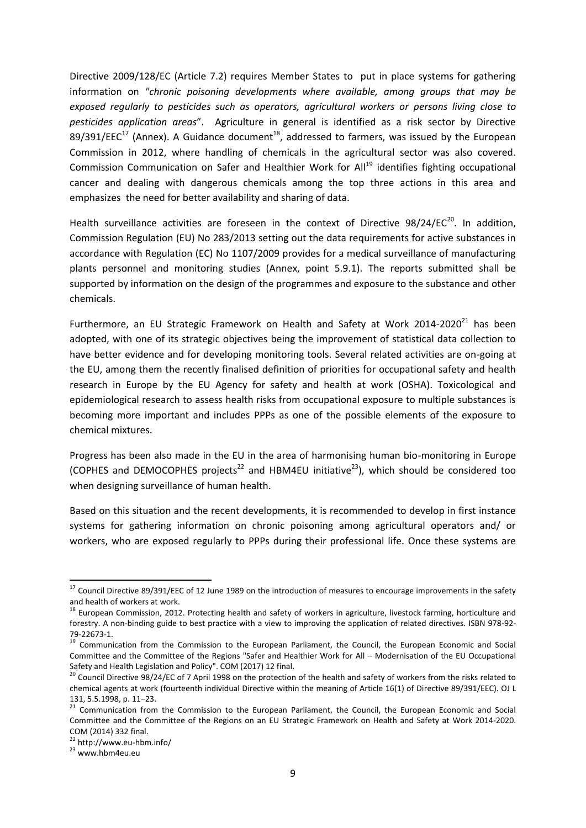Directive 2009/128/EC (Article 7.2) requires Member States to put in place systems for gathering information on *"chronic poisoning developments where available, among groups that may be exposed regularly to pesticides such as operators, agricultural workers or persons living close to pesticides application areas*". Agriculture in general is identified as a risk sector by Directive 89/391/EEC<sup>17</sup> (Annex). A Guidance document<sup>18</sup>, addressed to farmers, was issued by the European Commission in 2012, where handling of chemicals in the agricultural sector was also covered. Commission Communication on Safer and Healthier Work for All<sup>19</sup> identifies fighting occupational cancer and dealing with dangerous chemicals among the top three actions in this area and emphasizes the need for better availability and sharing of data.

Health surveillance activities are foreseen in the context of Directive  $98/24/EC^{20}$ . In addition, Commission Regulation (EU) No 283/2013 setting out the data requirements for active substances in accordance with Regulation (EC) No 1107/2009 provides for a medical surveillance of manufacturing plants personnel and monitoring studies (Annex, point 5.9.1). The reports submitted shall be supported by information on the design of the programmes and exposure to the substance and other chemicals.

Furthermore, an EU Strategic Framework on Health and Safety at Work  $2014-2020^{21}$  has been adopted, with one of its strategic objectives being the improvement of statistical data collection to have better evidence and for developing monitoring tools. Several related activities are on-going at the EU, among them the recently finalised definition of priorities for occupational safety and health research in Europe by the EU Agency for safety and health at work (OSHA). Toxicological and epidemiological research to assess health risks from occupational exposure to multiple substances is becoming more important and includes PPPs as one of the possible elements of the exposure to chemical mixtures.

Progress has been also made in the EU in the area of harmonising human bio-monitoring in Europe (COPHES and DEMOCOPHES projects<sup>22</sup> and HBM4EU initiative<sup>23</sup>), which should be considered too when designing surveillance of human health.

Based on this situation and the recent developments, it is recommended to develop in first instance systems for gathering information on chronic poisoning among agricultural operators and/ or workers, who are exposed regularly to PPPs during their professional life. Once these systems are

 $17$  Council Directive 89/391/EEC of 12 June 1989 on the introduction of measures to encourage improvements in the safety and health of workers at work.

 $18$  European Commission, 2012. Protecting health and safety of workers in agriculture, livestock farming, horticulture and forestry. A non-binding guide to best practice with a view to improving the application of related directives. ISBN 978-92- 79-22673-1.

<sup>&</sup>lt;sup>19</sup> Communication from the Commission to the European Parliament, the Council, the European Economic and Social Committee and the Committee of the Regions "Safer and Healthier Work for All – Modernisation of the EU Occupational Safety and Health Legislation and Policy". COM (2017) 12 final.

<sup>&</sup>lt;sup>20</sup> Council Directive 98/24/EC of 7 April 1998 on the protection of the health and safety of workers from the risks related to chemical agents at work (fourteenth individual Directive within the meaning of Article 16(1) of Directive 89/391/EEC). OJ L 131, 5.5.1998, p. 11–23.

<sup>21</sup> Communication from the Commission to the European Parliament, the Council, the European Economic and Social Committee and the Committee of the Regions on an EU Strategic Framework on Health and Safety at Work 2014-2020. COM (2014) 332 final.

<sup>22</sup> <http://www.eu-hbm.info/>

<sup>23</sup> [www.hbm4eu.eu](http://www.hbm4eu.eu/)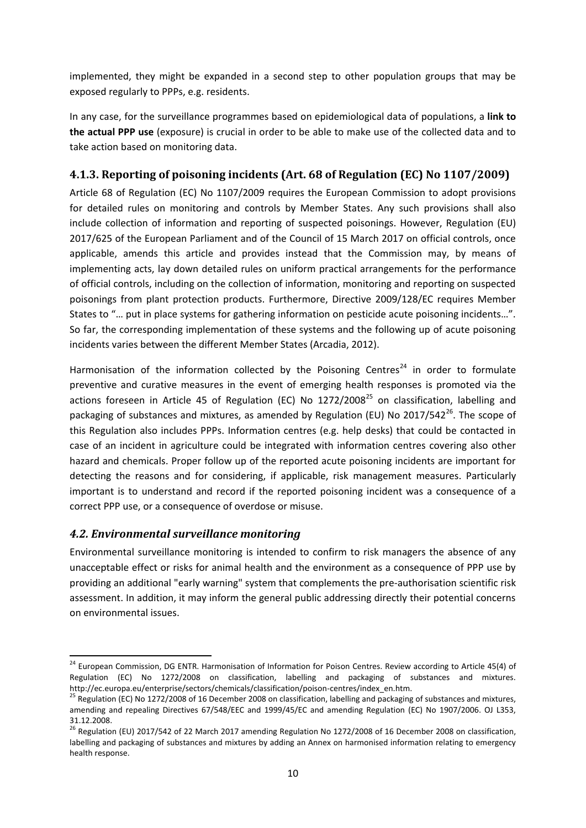implemented, they might be expanded in a second step to other population groups that may be exposed regularly to PPPs, e.g. residents.

In any case, for the surveillance programmes based on epidemiological data of populations, a **link to the actual PPP use** (exposure) is crucial in order to be able to make use of the collected data and to take action based on monitoring data.

# <span id="page-9-0"></span>**4.1.3. Reporting of poisoning incidents (Art. 68 of Regulation (EC) No 1107/2009)**

Article 68 of Regulation (EC) No 1107/2009 requires the European Commission to adopt provisions for detailed rules on monitoring and controls by Member States. Any such provisions shall also include collection of information and reporting of suspected poisonings. However, Regulation (EU) 2017/625 of the European Parliament and of the Council of 15 March 2017 on official controls, once applicable, amends this article and provides instead that the Commission may, by means of implementing acts, lay down detailed rules on uniform practical arrangements for the performance of official controls, including on the collection of information, monitoring and reporting on suspected poisonings from plant protection products. Furthermore, Directive 2009/128/EC requires Member States to "… put in place systems for gathering information on pesticide acute poisoning incidents…". So far, the corresponding implementation of these systems and the following up of acute poisoning incidents varies between the different Member States (Arcadia, 2012).

Harmonisation of the information collected by the Poisoning Centres<sup>24</sup> in order to formulate preventive and curative measures in the event of emerging health responses is promoted via the actions foreseen in Article 45 of Regulation (EC) No  $1272/2008^{25}$  on classification, labelling and packaging of substances and mixtures, as amended by Regulation (EU) No 2017/542 $^{26}$ . The scope of this Regulation also includes PPPs. Information centres (e.g. help desks) that could be contacted in case of an incident in agriculture could be integrated with information centres covering also other hazard and chemicals. Proper follow up of the reported acute poisoning incidents are important for detecting the reasons and for considering, if applicable, risk management measures. Particularly important is to understand and record if the reported poisoning incident was a consequence of a correct PPP use, or a consequence of overdose or misuse.

# <span id="page-9-1"></span>*4.2. Environmental surveillance monitoring*

**.** 

Environmental surveillance monitoring is intended to confirm to risk managers the absence of any unacceptable effect or risks for animal health and the environment as a consequence of PPP use by providing an additional "early warning" system that complements the pre-authorisation scientific risk assessment. In addition, it may inform the general public addressing directly their potential concerns on environmental issues.

<sup>&</sup>lt;sup>24</sup> European Commission, DG ENTR. Harmonisation of Information for Poison Centres. Review according to Article 45(4) of Regulation (EC) No 1272/2008 on classification, labelling and packaging of substances and mixtures. http://ec.europa.eu/enterprise/sectors/chemicals/classification/poison-centres/index\_en.htm.

<sup>&</sup>lt;sup>25</sup> Regulation (EC) No 1272/2008 of 16 December 2008 on classification, labelling and packaging of substances and mixtures, amending and repealing Directives 67/548/EEC and 1999/45/EC and amending Regulation (EC) No 1907/2006. OJ L353, 31.12.2008.

<sup>&</sup>lt;sup>26</sup> Regulation (EU) 2017/542 of 22 March 2017 amending Regulation No 1272/2008 of 16 December 2008 on classification, labelling and packaging of substances and mixtures by adding an Annex on harmonised information relating to emergency health response.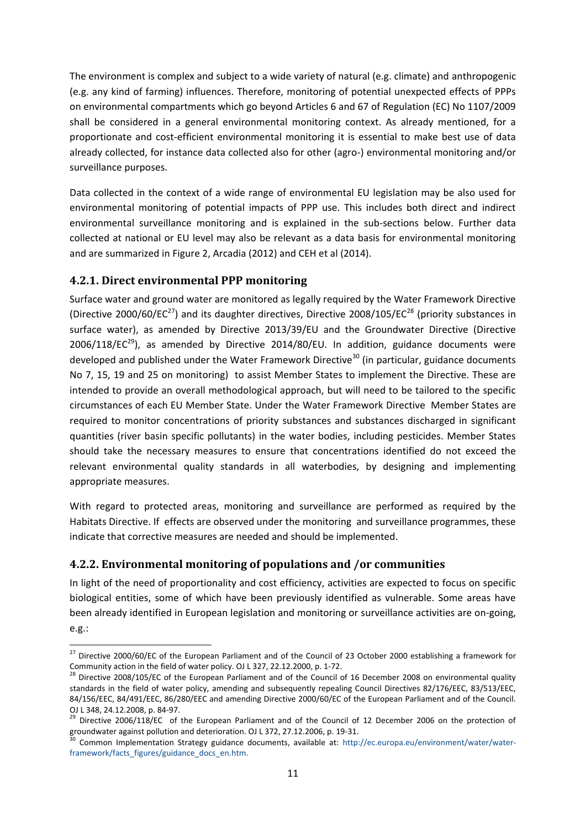The environment is complex and subject to a wide variety of natural (e.g. climate) and anthropogenic (e.g. any kind of farming) influences. Therefore, monitoring of potential unexpected effects of PPPs on environmental compartments which go beyond Articles 6 and 67 of Regulation (EC) No 1107/2009 shall be considered in a general environmental monitoring context. As already mentioned, for a proportionate and cost-efficient environmental monitoring it is essential to make best use of data already collected, for instance data collected also for other (agro-) environmental monitoring and/or surveillance purposes.

Data collected in the context of a wide range of environmental EU legislation may be also used for environmental monitoring of potential impacts of PPP use. This includes both direct and indirect environmental surveillance monitoring and is explained in the sub-sections below. Further data collected at national or EU level may also be relevant as a data basis for environmental monitoring and are summarized in Figure 2, Arcadia (2012) and CEH et al (2014).

# <span id="page-10-0"></span>**4.2.1. Direct environmental PPP monitoring**

Surface water and ground water are monitored as legally required by the Water Framework Directive (Directive 2000/60/EC<sup>27</sup>) and its daughter directives, Directive 2008/105/EC<sup>28</sup> (priority substances in surface water), as amended by Directive 2013/39/EU and the Groundwater Directive (Directive  $2006/118/EC<sup>29</sup>$ ), as amended by Directive  $2014/80/EU$ . In addition, guidance documents were developed and published under the Water Framework Directive<sup>30</sup> (in particular, guidance documents No 7, 15, 19 and 25 on monitoring) to assist Member States to implement the Directive. These are intended to provide an overall methodological approach, but will need to be tailored to the specific circumstances of each EU Member State. Under the Water Framework Directive Member States are required to monitor concentrations of priority substances and substances discharged in significant quantities (river basin specific pollutants) in the water bodies, including pesticides. Member States should take the necessary measures to ensure that concentrations identified do not exceed the relevant environmental quality standards in all waterbodies, by designing and implementing appropriate measures.

With regard to protected areas, monitoring and surveillance are performed as required by the Habitats Directive. If effects are observed under the monitoring and surveillance programmes, these indicate that corrective measures are needed and should be implemented.

# <span id="page-10-1"></span>**4.2.2. Environmental monitoring of populations and /or communities**

In light of the need of proportionality and cost efficiency, activities are expected to focus on specific biological entities, some of which have been previously identified as vulnerable. Some areas have been already identified in European legislation and monitoring or surveillance activities are on-going,

e.g.:

 $^{27}$  Directive 2000/60/EC of the European Parliament and of the Council of 23 October 2000 establishing a framework for Community action in the field of water policy. OJ L 327, 22.12.2000, p. 1-72.

<sup>&</sup>lt;sup>28</sup> Directive 2008/105/EC of the European Parliament and of the Council of 16 December 2008 on environmental quality standards in the field of water policy, amending and subsequently repealing Council Directives 82/176/EEC, 83/513/EEC, 84/156/EEC, 84/491/EEC, 86/280/EEC and amending Directive 2000/60/EC of the European Parliament and of the Council. OJ L 348, 24.12.2008, p. 84-97.

<sup>29</sup> Directive 2006/118/EC of the European Parliament and of the Council of 12 December 2006 on the protection of groundwater against pollution and deterioration. OJ L 372, 27.12.2006, p. 19-31.

<sup>&</sup>lt;sup>30</sup> Common Implementation Strategy guidance documents, available at: [http://ec.europa.eu/environment/water/water](http://ec.europa.eu/environment/water/water-framework/facts_figures/guidance_docs_en.htm)[framework/facts\\_figures/guidance\\_docs\\_en.htm.](http://ec.europa.eu/environment/water/water-framework/facts_figures/guidance_docs_en.htm)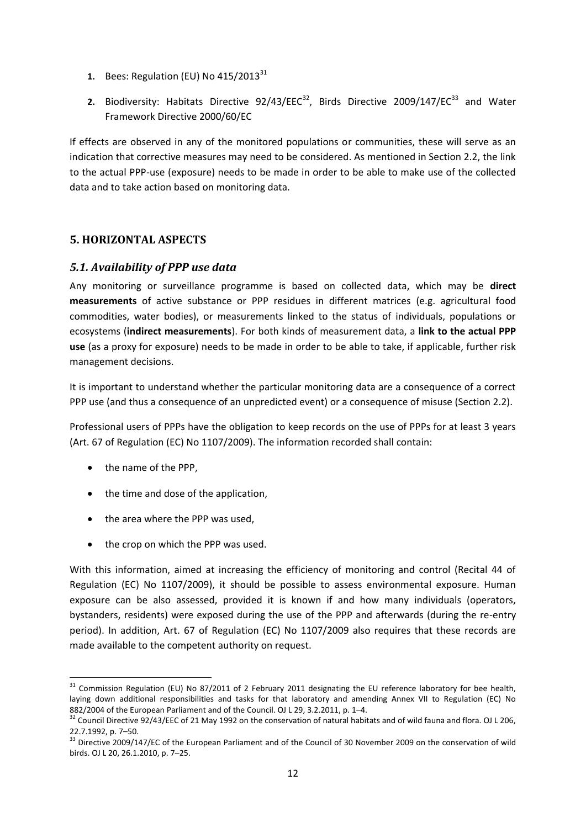- **1.** Bees: Regulation (EU) No 415/2013<sup>31</sup>
- 2. Biodiversity: Habitats Directive 92/43/EEC<sup>32</sup>, Birds Directive 2009/147/EC<sup>33</sup> and Water Framework Directive 2000/60/EC

If effects are observed in any of the monitored populations or communities, these will serve as an indication that corrective measures may need to be considered. As mentioned in Section 2.2, the link to the actual PPP-use (exposure) needs to be made in order to be able to make use of the collected data and to take action based on monitoring data.

#### <span id="page-11-0"></span>**5. HORIZONTAL ASPECTS**

#### <span id="page-11-1"></span>*5.1. Availability of PPP use data*

Any monitoring or surveillance programme is based on collected data, which may be **direct measurements** of active substance or PPP residues in different matrices (e.g. agricultural food commodities, water bodies), or measurements linked to the status of individuals, populations or ecosystems (**indirect measurements**). For both kinds of measurement data, a **link to the actual PPP use** (as a proxy for exposure) needs to be made in order to be able to take, if applicable, further risk management decisions.

It is important to understand whether the particular monitoring data are a consequence of a correct PPP use (and thus a consequence of an unpredicted event) or a consequence of misuse (Section 2.2).

Professional users of PPPs have the obligation to keep records on the use of PPPs for at least 3 years (Art. 67 of Regulation (EC) No 1107/2009). The information recorded shall contain:

- the name of the PPP,
- the time and dose of the application,
- the area where the PPP was used,
- the crop on which the PPP was used.

With this information, aimed at increasing the efficiency of monitoring and control (Recital 44 of Regulation (EC) No 1107/2009), it should be possible to assess environmental exposure. Human exposure can be also assessed, provided it is known if and how many individuals (operators, bystanders, residents) were exposed during the use of the PPP and afterwards (during the re-entry period). In addition, Art. 67 of Regulation (EC) No 1107/2009 also requires that these records are made available to the competent authority on request.

<sup>1</sup>  $31$  Commission Regulation (EU) No 87/2011 of 2 February 2011 designating the EU reference laboratory for bee health, laying down additional responsibilities and tasks for that laboratory and amending Annex VII to Regulation (EC) No 882/2004 of the European Parliament and of the Council. OJ L 29, 3.2.2011, p. 1–4.

<sup>&</sup>lt;sup>32</sup> Council Directive 92/43/EEC of 21 May 1992 on the conservation of natural habitats and of wild fauna and flora. OJ L 206, 22.7.1992, p. 7–50.

<sup>&</sup>lt;sup>33</sup> Directive 2009/147/EC of the European Parliament and of the Council of 30 November 2009 on the conservation of wild birds. OJ L 20, 26.1.2010, p. 7–25.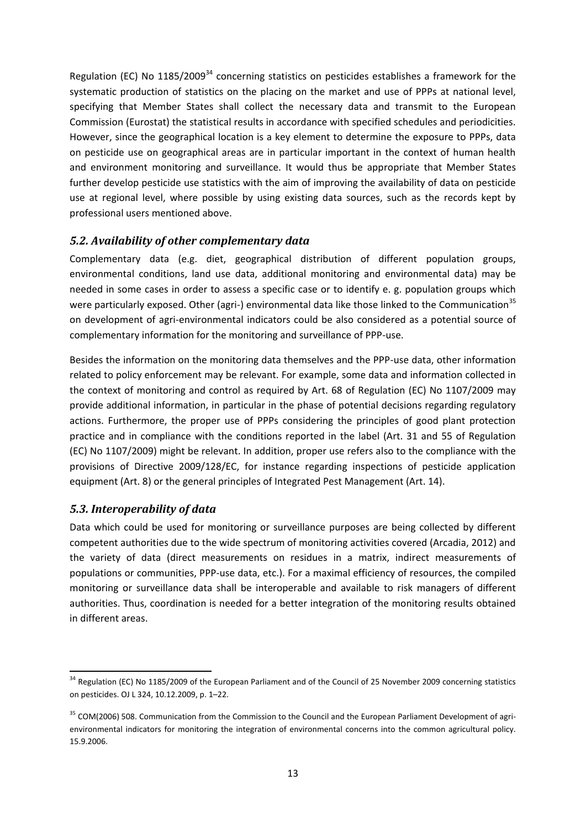Regulation (EC) No 1185/2009<sup>34</sup> concerning statistics on pesticides establishes a framework for the systematic production of statistics on the placing on the market and use of PPPs at national level, specifying that Member States shall collect the necessary data and transmit to the European Commission (Eurostat) the statistical results in accordance with specified schedules and periodicities. However, since the geographical location is a key element to determine the exposure to PPPs, data on pesticide use on geographical areas are in particular important in the context of human health and environment monitoring and surveillance. It would thus be appropriate that Member States further develop pesticide use statistics with the aim of improving the availability of data on pesticide use at regional level, where possible by using existing data sources, such as the records kept by professional users mentioned above.

# <span id="page-12-0"></span>*5.2. Availability of other complementary data*

Complementary data (e.g. diet, geographical distribution of different population groups, environmental conditions, land use data, additional monitoring and environmental data) may be needed in some cases in order to assess a specific case or to identify e. g. population groups which were particularly exposed. Other (agri-) environmental data like those linked to the Communication<sup>35</sup> on development of agri-environmental indicators could be also considered as a potential source of complementary information for the monitoring and surveillance of PPP-use.

Besides the information on the monitoring data themselves and the PPP-use data, other information related to policy enforcement may be relevant. For example, some data and information collected in the context of monitoring and control as required by Art. 68 of Regulation (EC) No 1107/2009 may provide additional information, in particular in the phase of potential decisions regarding regulatory actions. Furthermore, the proper use of PPPs considering the principles of good plant protection practice and in compliance with the conditions reported in the label (Art. 31 and 55 of Regulation (EC) No 1107/2009) might be relevant. In addition, proper use refers also to the compliance with the provisions of Directive 2009/128/EC, for instance regarding inspections of pesticide application equipment (Art. 8) or the general principles of Integrated Pest Management (Art. 14).

# <span id="page-12-1"></span>*5.3. Interoperability of data*

**.** 

Data which could be used for monitoring or surveillance purposes are being collected by different competent authorities due to the wide spectrum of monitoring activities covered (Arcadia, 2012) and the variety of data (direct measurements on residues in a matrix, indirect measurements of populations or communities, PPP-use data, etc.). For a maximal efficiency of resources, the compiled monitoring or surveillance data shall be interoperable and available to risk managers of different authorities. Thus, coordination is needed for a better integration of the monitoring results obtained in different areas.

<sup>&</sup>lt;sup>34</sup> Regulation (EC) No 1185/2009 of the European Parliament and of the Council of 25 November 2009 concerning statistics on pesticides. OJ L 324, 10.12.2009, p. 1–22.

<sup>&</sup>lt;sup>35</sup> COM(2006) 508. Communication from the Commission to the Council and the European Parliament Development of agrienvironmental indicators for monitoring the integration of environmental concerns into the common agricultural policy. 15.9.2006.